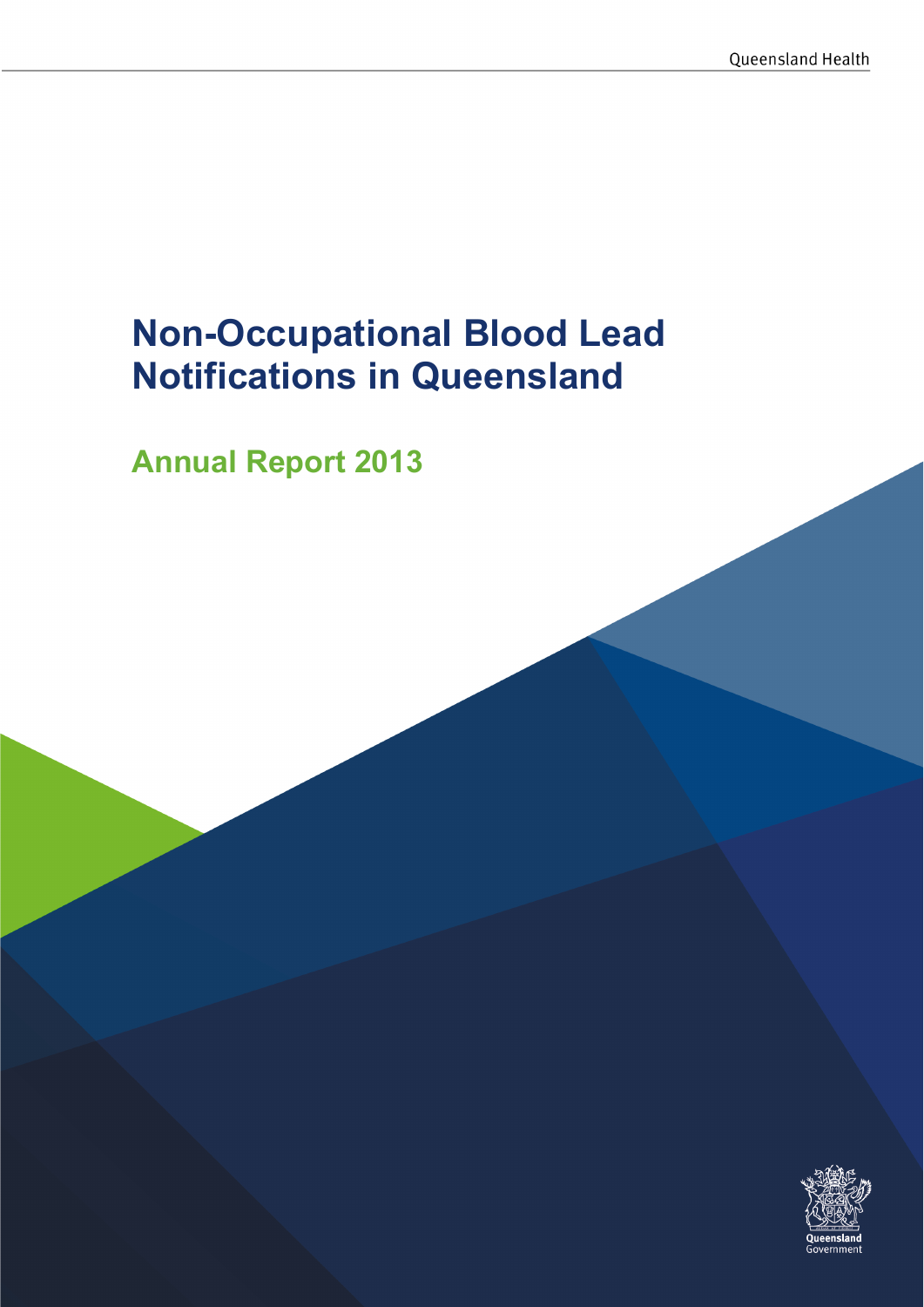# Non-Occupational Blood Lead Notifications in Queensland

Annual Report 2013

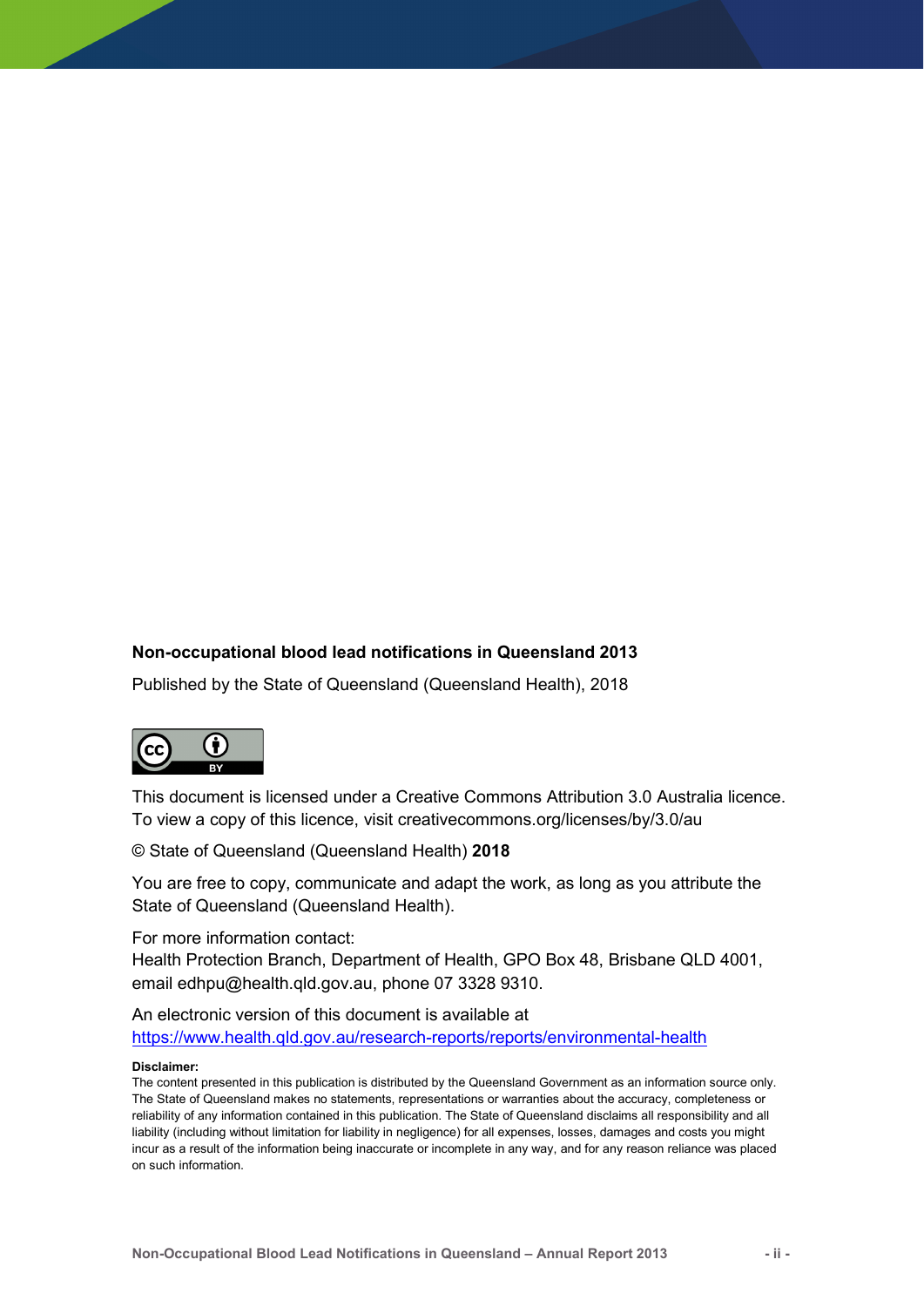#### Non-occupational blood lead notifications in Queensland 2013

Published by the State of Queensland (Queensland Health), 2018



This document is licensed under a Creative Commons Attribution 3.0 Australia licence. To view a copy of this licence, visit creativecommons.org/licenses/by/3.0/au

© State of Queensland (Queensland Health) 2018

You are free to copy, communicate and adapt the work, as long as you attribute the State of Queensland (Queensland Health).

For more information contact:

Health Protection Branch, Department of Health, GPO Box 48, Brisbane QLD 4001, email edhpu@health.qld.gov.au, phone 07 3328 9310.

An electronic version of this document is available at https://www.health.qld.gov.au/research-reports/reports/environmental-health

#### Disclaimer:

The content presented in this publication is distributed by the Queensland Government as an information source only. The State of Queensland makes no statements, representations or warranties about the accuracy, completeness or reliability of any information contained in this publication. The State of Queensland disclaims all responsibility and all liability (including without limitation for liability in negligence) for all expenses, losses, damages and costs you might incur as a result of the information being inaccurate or incomplete in any way, and for any reason reliance was placed on such information.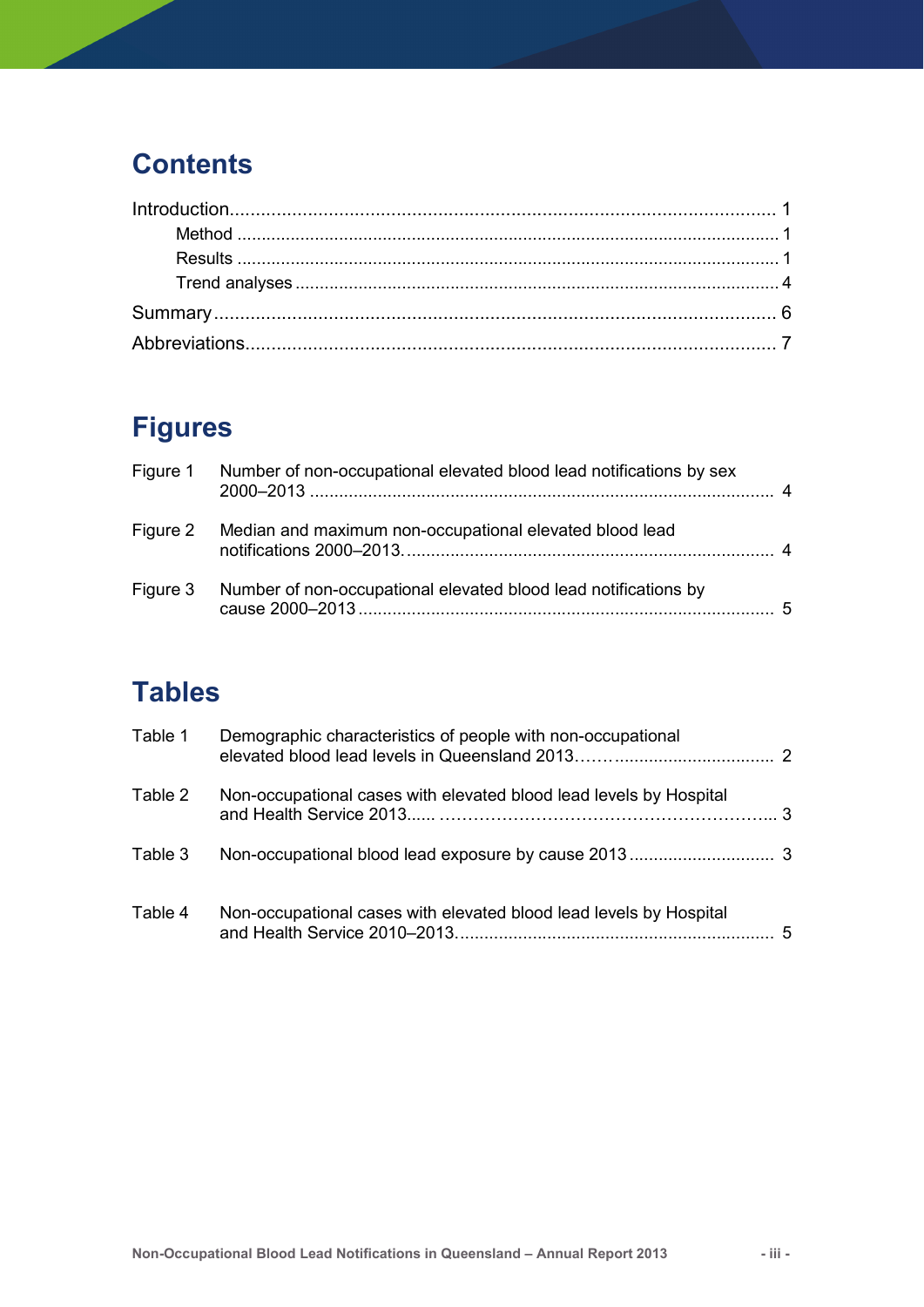## **Contents**

# Figures

| Figure 1 Number of non-occupational elevated blood lead notifications by sex |     |
|------------------------------------------------------------------------------|-----|
| Figure 2 Median and maximum non-occupational elevated blood lead             |     |
| Figure 3 Number of non-occupational elevated blood lead notifications by     | - 5 |

# **Tables**

| Table 1 | Demographic characteristics of people with non-occupational        |   |
|---------|--------------------------------------------------------------------|---|
| Table 2 | Non-occupational cases with elevated blood lead levels by Hospital |   |
| Table 3 |                                                                    |   |
| Table 4 | Non-occupational cases with elevated blood lead levels by Hospital | 5 |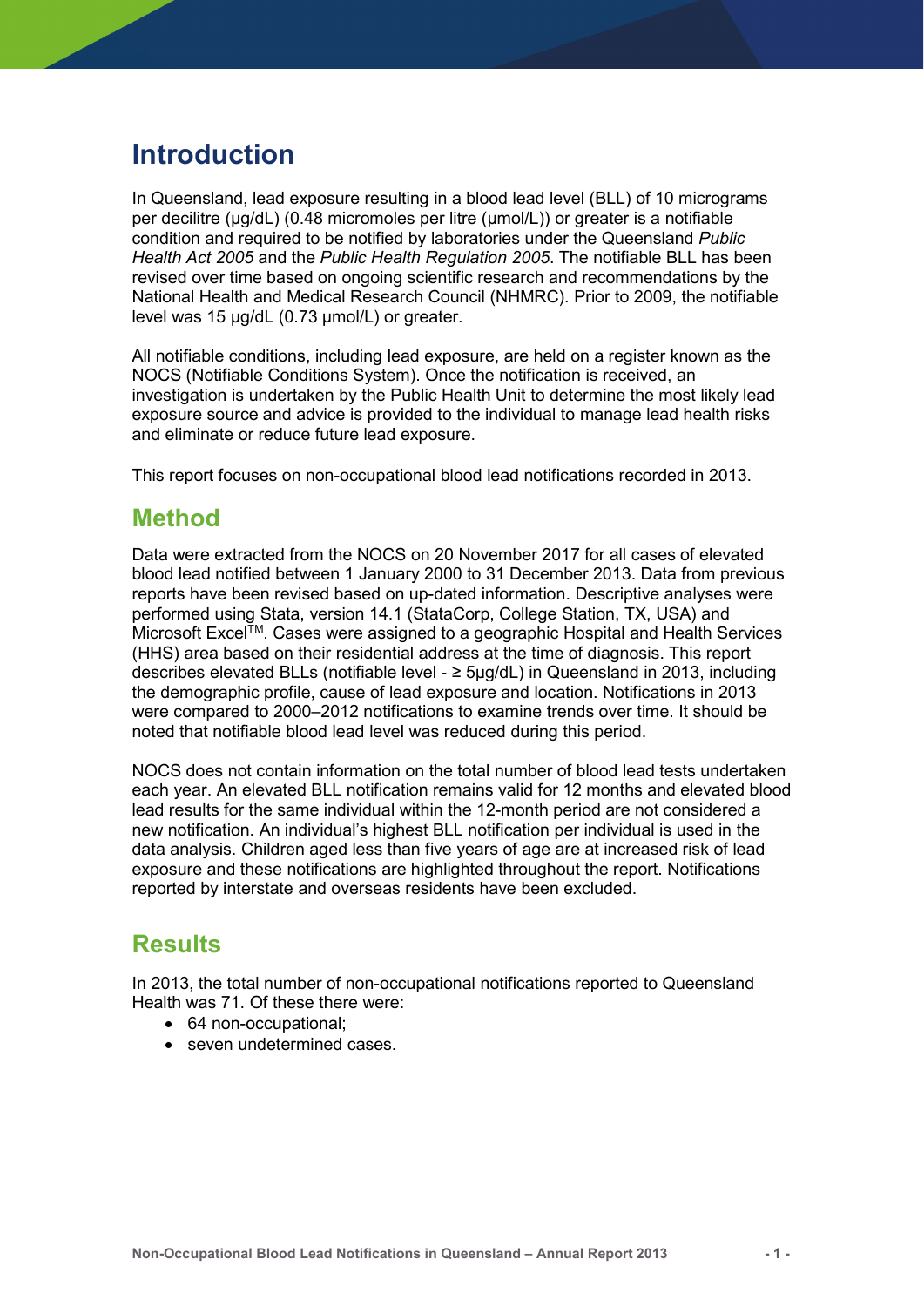### Introduction

In Queensland, lead exposure resulting in a blood lead level (BLL) of 10 micrograms per decilitre (μg/dL) (0.48 micromoles per litre (μmol/L)) or greater is a notifiable condition and required to be notified by laboratories under the Queensland Public Health Act 2005 and the Public Health Regulation 2005. The notifiable BLL has been revised over time based on ongoing scientific research and recommendations by the National Health and Medical Research Council (NHMRC). Prior to 2009, the notifiable level was 15 µg/dL (0.73 µmol/L) or greater.

All notifiable conditions, including lead exposure, are held on a register known as the NOCS (Notifiable Conditions System). Once the notification is received, an investigation is undertaken by the Public Health Unit to determine the most likely lead exposure source and advice is provided to the individual to manage lead health risks and eliminate or reduce future lead exposure.

This report focuses on non-occupational blood lead notifications recorded in 2013.

### Method

Data were extracted from the NOCS on 20 November 2017 for all cases of elevated blood lead notified between 1 January 2000 to 31 December 2013. Data from previous reports have been revised based on up-dated information. Descriptive analyses were performed using Stata, version 14.1 (StataCorp, College Station, TX, USA) and Microsoft Excel<sup>TM</sup>. Cases were assigned to a geographic Hospital and Health Services (HHS) area based on their residential address at the time of diagnosis. This report describes elevated BLLs (notifiable level - ≥ 5µg/dL) in Queensland in 2013, including the demographic profile, cause of lead exposure and location. Notifications in 2013 were compared to 2000–2012 notifications to examine trends over time. It should be noted that notifiable blood lead level was reduced during this period.

NOCS does not contain information on the total number of blood lead tests undertaken each year. An elevated BLL notification remains valid for 12 months and elevated blood lead results for the same individual within the 12-month period are not considered a new notification. An individual's highest BLL notification per individual is used in the data analysis. Children aged less than five years of age are at increased risk of lead exposure and these notifications are highlighted throughout the report. Notifications reported by interstate and overseas residents have been excluded.

### Results

In 2013, the total number of non-occupational notifications reported to Queensland Health was 71. Of these there were:

- 64 non-occupational:
- seven undetermined cases.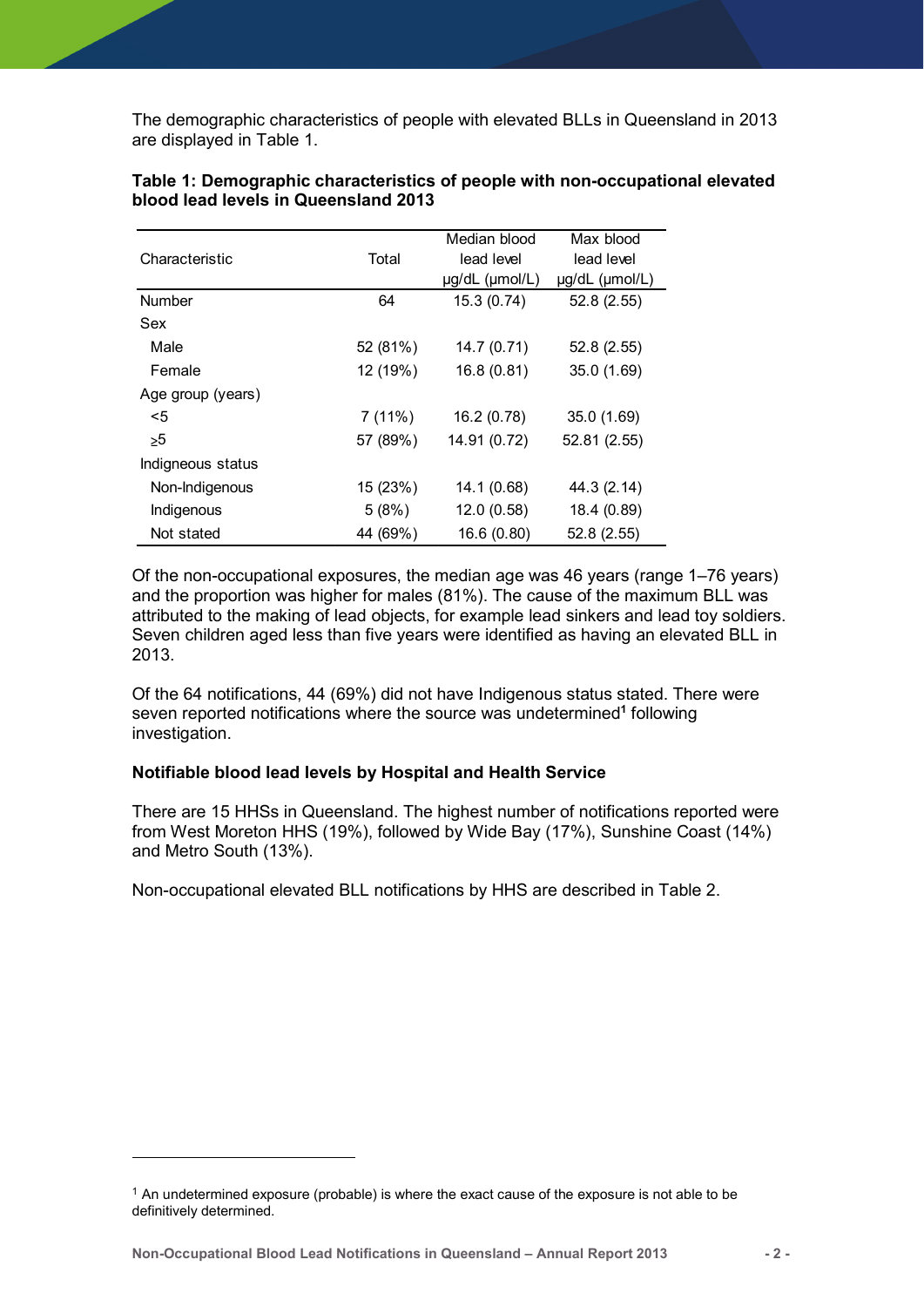| The demographic characteristics of people with elevated BLLs in Queensland in 2013 |          |                |                |
|------------------------------------------------------------------------------------|----------|----------------|----------------|
|                                                                                    |          |                |                |
|                                                                                    |          |                |                |
|                                                                                    |          |                |                |
|                                                                                    |          |                |                |
| are displayed in Table 1.                                                          |          |                |                |
|                                                                                    |          |                |                |
|                                                                                    |          |                |                |
| Table 1: Demographic characteristics of people with non-occupational elevated      |          |                |                |
| blood lead levels in Queensland 2013                                               |          |                |                |
|                                                                                    |          |                |                |
|                                                                                    |          | Median blood   | Max blood      |
| Characteristic                                                                     | Total    | lead level     | lead level     |
|                                                                                    |          | µg/dL (µmol/L) | µg/dL (µmol/L) |
|                                                                                    |          |                |                |
|                                                                                    |          |                |                |
| Number                                                                             | 64       | 15.3(0.74)     | 52.8 (2.55)    |
| Sex                                                                                |          |                |                |
| Male                                                                               | 52 (81%) | 14.7(0.71)     | 52.8(2.55)     |
| Female                                                                             | 12 (19%) | 16.8(0.81)     | 35.0 (1.69)    |
| Age group (years)                                                                  |          |                |                |
|                                                                                    |          |                |                |
| $5$                                                                                | 7(11%)   | 16.2(0.78)     | 35.0 (1.69)    |
| $\geq 5$                                                                           | 57 (89%) | 14.91 (0.72)   | 52.81 (2.55)   |
| Indigneous status                                                                  |          |                |                |
| Non-Indigenous                                                                     | 15 (23%) | 14.1(0.68)     | 44.3 (2.14)    |
| Indigenous                                                                         | 5(8%)    | 12.0(0.58)     | 18.4 (0.89)    |

#### Table 1: Demographic characteristics of people with non-occupational elevated blood lead levels in Queensland 2013

Of the non-occupational exposures, the median age was 46 years (range 1–76 years) and the proportion was higher for males (81%). The cause of the maximum BLL was attributed to the making of lead objects, for example lead sinkers and lead toy soldiers. Seven children aged less than five years were identified as having an elevated BLL in 2013.

Of the 64 notifications, 44 (69%) did not have Indigenous status stated. There were seven reported notifications where the source was undetermined<sup>1</sup> following investigation.

#### Notifiable blood lead levels by Hospital and Health Service

There are 15 HHSs in Queensland. The highest number of notifications reported were from West Moreton HHS (19%), followed by Wide Bay (17%), Sunshine Coast (14%) and Metro South (13%).

Non-occupational elevated BLL notifications by HHS are described in Table 2.

Non-Occupational Blood Lead Notifications in Queensland – Annual Report 2013 - 2 -

-

 $1$  An undetermined exposure (probable) is where the exact cause of the exposure is not able to be definitively determined.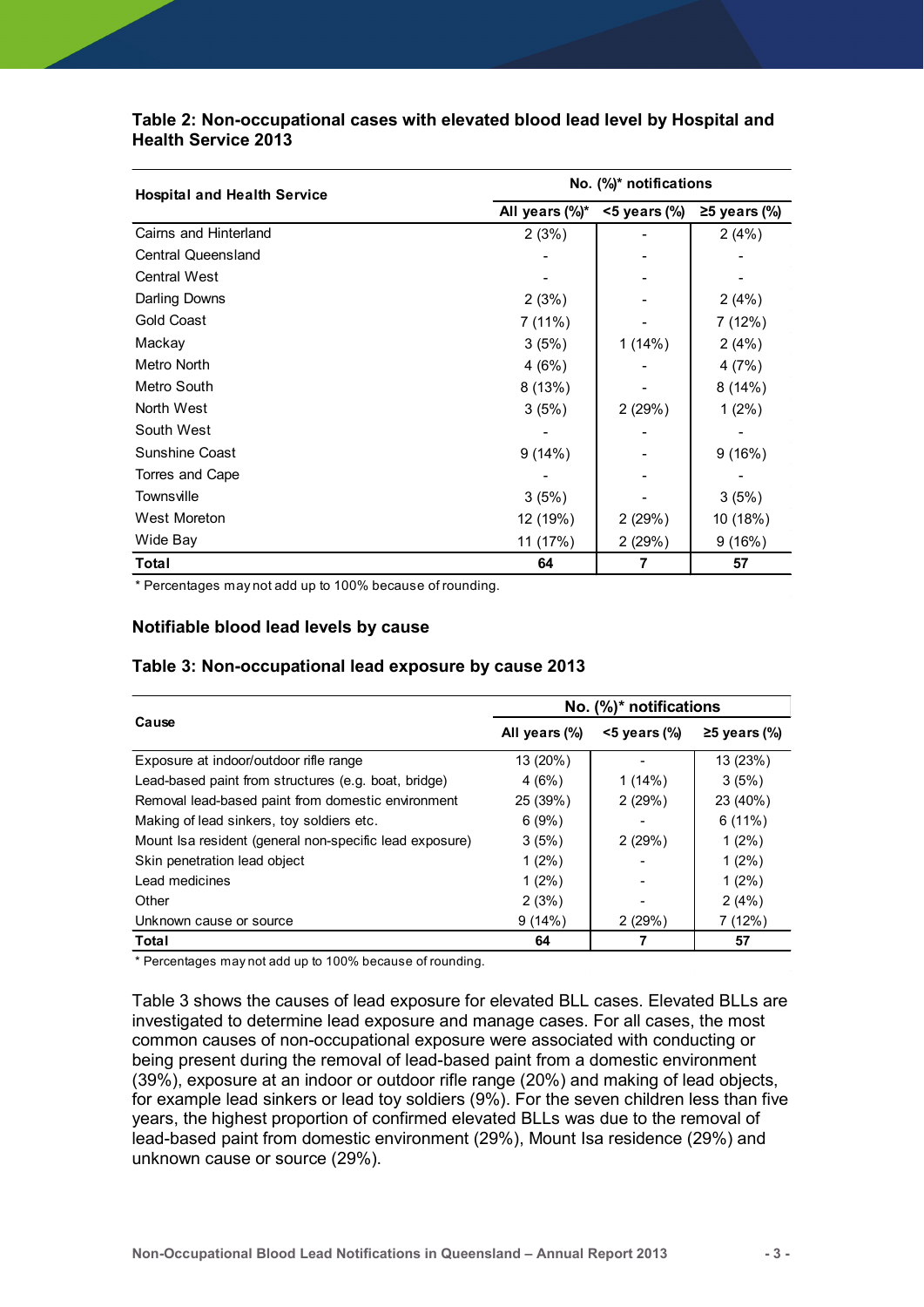| Table 2: Non-occupational cases with elevated blood lead level by Hospital and |                          |                        |                     |  |  |  |
|--------------------------------------------------------------------------------|--------------------------|------------------------|---------------------|--|--|--|
| <b>Health Service 2013</b>                                                     |                          |                        |                     |  |  |  |
|                                                                                |                          |                        |                     |  |  |  |
|                                                                                | No. (%)* notifications   |                        |                     |  |  |  |
| <b>Hospital and Health Service</b>                                             | All years (%)*           | $<$ 5 years (%)        | $\geq$ 5 years (%)  |  |  |  |
| Cairns and Hinterland                                                          | 2(3%)                    |                        | 2(4%)               |  |  |  |
| Central Queensland                                                             | $\overline{\phantom{0}}$ |                        |                     |  |  |  |
| Central West                                                                   |                          |                        |                     |  |  |  |
| Darling Downs                                                                  | 2(3%)                    |                        | 2(4%)               |  |  |  |
| <b>Gold Coast</b>                                                              | 7 (11%)                  |                        | 7 (12%)             |  |  |  |
| Mackay                                                                         | 3(5%)                    | 1(14%)                 | 2(4%)               |  |  |  |
| Metro North                                                                    | 4(6%)                    |                        | 4(7%)               |  |  |  |
| Metro South                                                                    | 8 (13%)                  |                        | 8(14%)              |  |  |  |
| North West                                                                     | 3(5%)                    | 2 (29%)                | $1(2\%)$            |  |  |  |
| South West                                                                     |                          |                        |                     |  |  |  |
| Sunshine Coast                                                                 | 9(14%)                   |                        | 9(16%)              |  |  |  |
| Torres and Cape                                                                |                          |                        |                     |  |  |  |
| Townsville                                                                     | 3(5%)                    |                        | 3(5%)               |  |  |  |
| West Moreton                                                                   | 12 (19%)                 | 2(29%)                 | 10 (18%)            |  |  |  |
| Wide Bay                                                                       | 11 (17%)                 | 2(29%)                 | 9(16%)              |  |  |  |
| Total                                                                          | 64                       | 7                      | 57                  |  |  |  |
| * Percentages may not add up to 100% because of rounding.                      |                          |                        |                     |  |  |  |
|                                                                                |                          |                        |                     |  |  |  |
| Notifiable blood lead levels by cause                                          |                          |                        |                     |  |  |  |
|                                                                                |                          |                        |                     |  |  |  |
| Table 3: Non-occupational lead exposure by cause 2013                          |                          |                        |                     |  |  |  |
|                                                                                |                          |                        |                     |  |  |  |
| Cause                                                                          |                          | No. (%)* notifications |                     |  |  |  |
|                                                                                | All years (%)            | <5 years (%)           | $\geq$ 5 years (%)  |  |  |  |
| Exposure at indoor/outdoor rifle range                                         | 13 (20%)                 |                        | 13 (23%)            |  |  |  |
| Lead-based paint from structures (e.g. boat, bridge)                           | 4(6%)                    | 1(14%)                 | 3(5%)               |  |  |  |
| Removal lead-based paint from domestic environment                             | 25 (39%)                 | 2(29%)                 | 23 (40%)            |  |  |  |
| Making of lead sinkers, toy soldiers etc.                                      | 6(9%)                    |                        | 6(11%)              |  |  |  |
|                                                                                | 3(5%)                    | 2(29%)                 | $1(2\%)$            |  |  |  |
| Mount Isa resident (general non-specific lead exposure)                        |                          |                        |                     |  |  |  |
| Skin penetration lead object<br>Load modicinos                                 | $1(2\%)$<br>1/20(1)      |                        | $1(2\%)$<br>1/20(1) |  |  |  |

#### Notifiable blood lead levels by cause

#### Table 3: Non-occupational lead exposure by cause 2013

| North West                                                                                     |                        |                 |                |  |  |  |
|------------------------------------------------------------------------------------------------|------------------------|-----------------|----------------|--|--|--|
|                                                                                                | 3(5%)                  | 2(29%)          | $1(2\%)$       |  |  |  |
| South West                                                                                     |                        |                 |                |  |  |  |
| <b>Sunshine Coast</b>                                                                          | 9(14%)                 |                 | 9(16%)         |  |  |  |
| Torres and Cape                                                                                |                        |                 |                |  |  |  |
| Townsville                                                                                     | 3(5%)                  |                 | 3(5%)          |  |  |  |
| <b>West Moreton</b>                                                                            | 12 (19%)               | 2(29%)          | 10 (18%)       |  |  |  |
| Wide Bay                                                                                       | 11 (17%)               | 2 (29%)         | 9(16%)         |  |  |  |
| Total                                                                                          | 64                     | $\overline{7}$  | 57             |  |  |  |
| Notifiable blood lead levels by cause<br>Table 3: Non-occupational lead exposure by cause 2013 |                        |                 |                |  |  |  |
|                                                                                                | No. (%)* notifications |                 |                |  |  |  |
| Cause                                                                                          | All years (%)          | $<$ 5 years (%) | $≥5$ years (%) |  |  |  |
| Exposure at indoor/outdoor rifle range                                                         | 13 (20%)               |                 | 13 (23%)       |  |  |  |
| Lead-based paint from structures (e.g. boat, bridge)                                           | 4(6%)                  | 1(14%)          | 3(5%)          |  |  |  |
|                                                                                                |                        | 2(29%)          | 23 (40%)       |  |  |  |
| Removal lead-based paint from domestic environment                                             | 25 (39%)               |                 |                |  |  |  |
| Making of lead sinkers, toy soldiers etc.                                                      | 6(9%)                  |                 | 6(11%)         |  |  |  |
| Mount Isa resident (general non-specific lead exposure)                                        | 3(5%)                  | 2(29%)          | $1(2\%)$       |  |  |  |
| Skin penetration lead object                                                                   | $1(2\%)$               |                 | $1(2\%)$       |  |  |  |
| Lead medicines                                                                                 | $1(2\%)$               |                 | $1(2\%)$       |  |  |  |
| Other                                                                                          | 2(3%)                  |                 | 2(4%)          |  |  |  |
| Unknown cause or source                                                                        | 9(14%)                 | 2(29%)          | 7(12%)         |  |  |  |
| Total                                                                                          | 64                     | $\overline{7}$  | 57             |  |  |  |

Table 3 shows the causes of lead exposure for elevated BLL cases. Elevated BLLs are investigated to determine lead exposure and manage cases. For all cases, the most common causes of non-occupational exposure were associated with conducting or being present during the removal of lead-based paint from a domestic environment (39%), exposure at an indoor or outdoor rifle range (20%) and making of lead objects, for example lead sinkers or lead toy soldiers (9%). For the seven children less than five years, the highest proportion of confirmed elevated BLLs was due to the removal of lead-based paint from domestic environment (29%), Mount Isa residence (29%) and unknown cause or source (29%).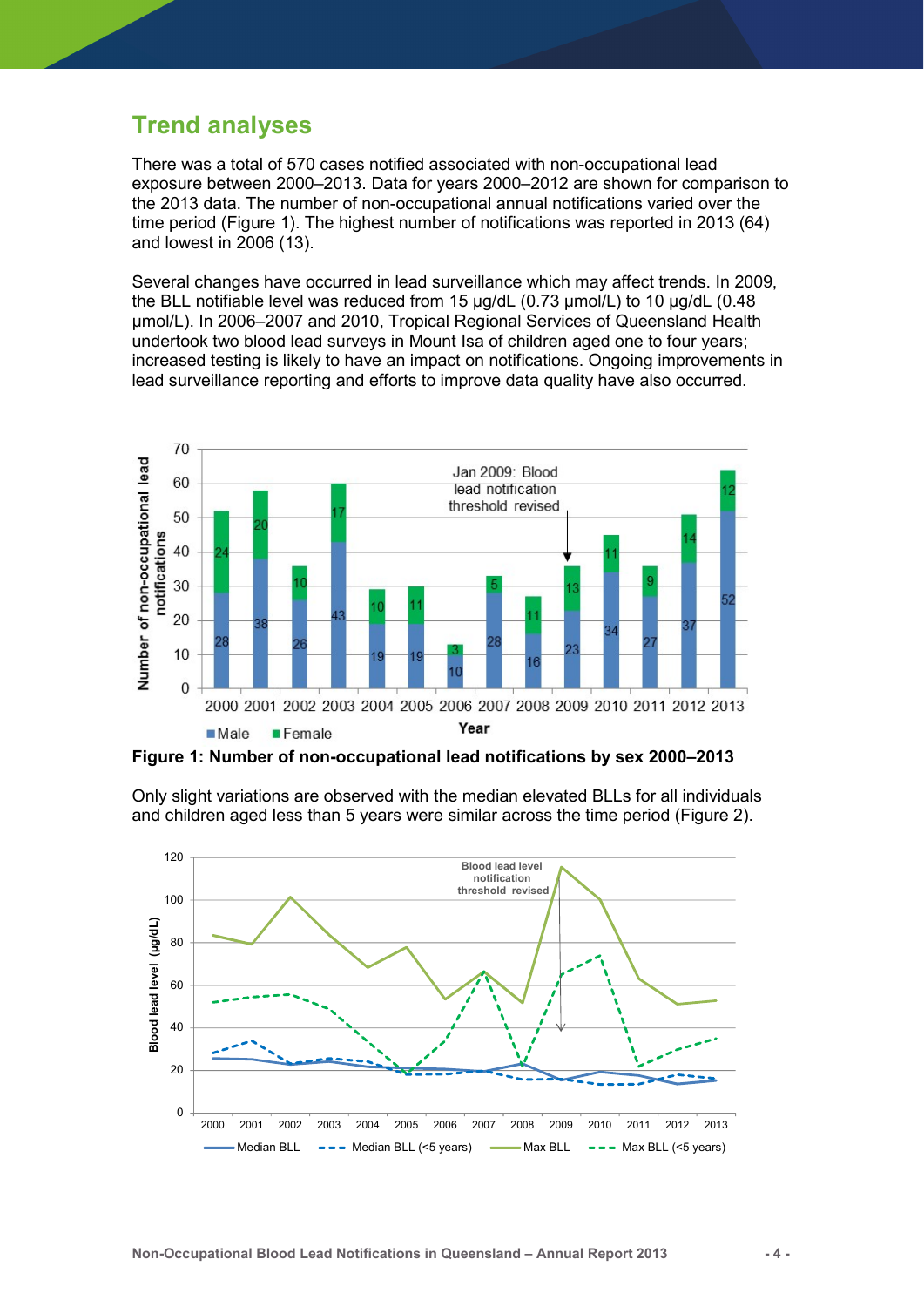### Trend analyses

There was a total of 570 cases notified associated with non-occupational lead exposure between 2000–2013. Data for years 2000–2012 are shown for comparison to the 2013 data. The number of non-occupational annual notifications varied over the time period (Figure 1). The highest number of notifications was reported in 2013 (64) and lowest in 2006 (13).

Several changes have occurred in lead surveillance which may affect trends. In 2009, the BLL notifiable level was reduced from 15 µg/dL (0.73 µmol/L) to 10 µg/dL (0.48 µmol/L). In 2006–2007 and 2010, Tropical Regional Services of Queensland Health undertook two blood lead surveys in Mount Isa of children aged one to four years; increased testing is likely to have an impact on notifications. Ongoing improvements in lead surveillance reporting and efforts to improve data quality have also occurred.



Figure 1: Number of non-occupational lead notifications by sex 2000–2013



Only slight variations are observed with the median elevated BLLs for all individuals and children aged less than 5 years were similar across the time period (Figure 2).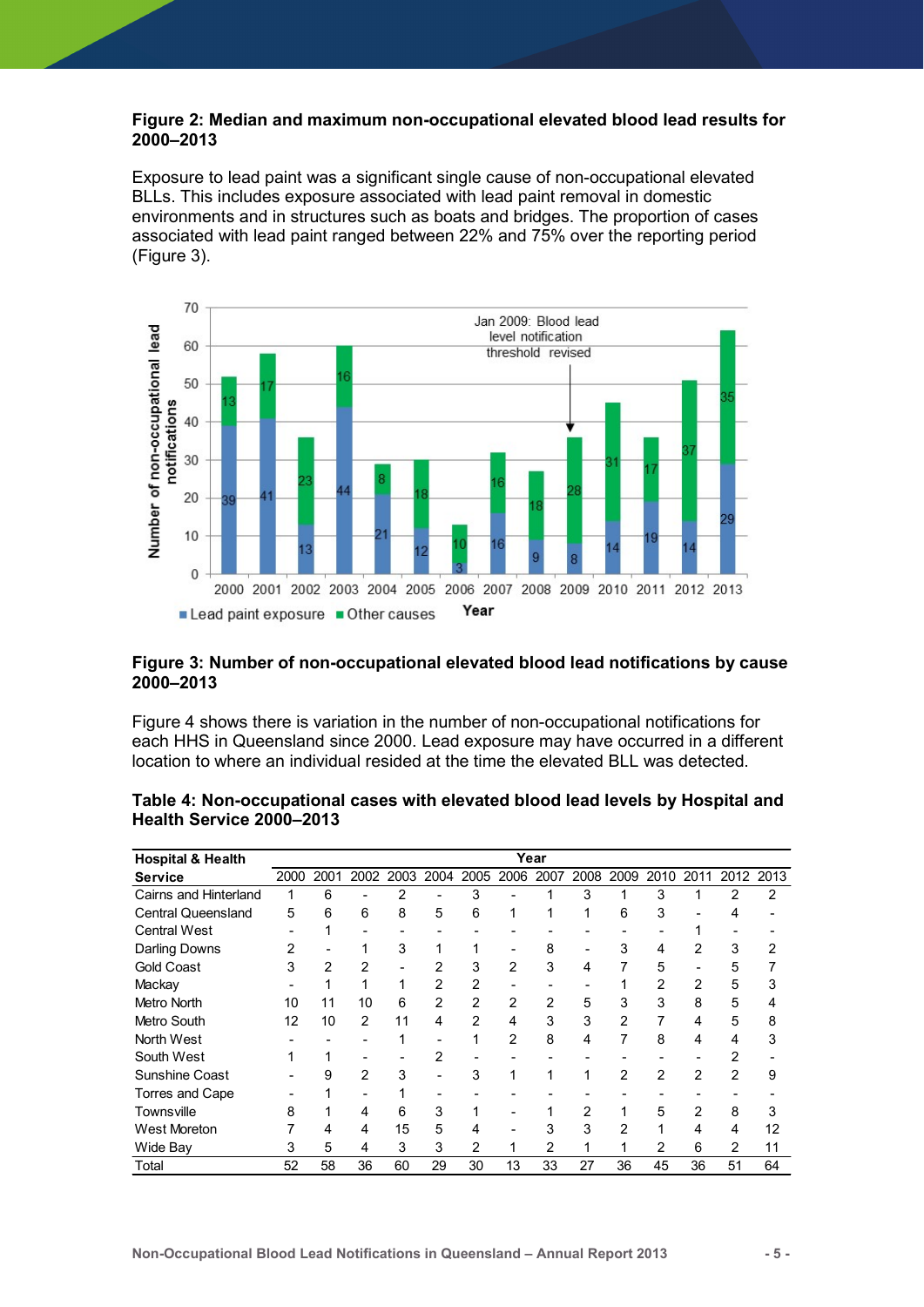#### Figure 2: Median and maximum non-occupational elevated blood lead results for 2000–2013

Exposure to lead paint was a significant single cause of non-occupational elevated BLLs. This includes exposure associated with lead paint removal in domestic environments and in structures such as boats and bridges. The proportion of cases associated with lead paint ranged between 22% and 75% over the reporting period (Figure 3).



#### Figure 3: Number of non-occupational elevated blood lead notifications by cause 2000–2013

| Number of<br>20<br>10<br>0<br>2000 2001 2002 2003 2004 2005 2006 2007 2008 2009 2010 2011 2012 2013<br>Lead paint exposure Other causes                                    |                |                         |                         |                |                         | Year                     |                |                |                         |                |                |                 |                 |                           |
|----------------------------------------------------------------------------------------------------------------------------------------------------------------------------|----------------|-------------------------|-------------------------|----------------|-------------------------|--------------------------|----------------|----------------|-------------------------|----------------|----------------|-----------------|-----------------|---------------------------|
| Figure 3: Number of non-occupational elevated blood lead notifications by cause                                                                                            |                |                         |                         |                |                         |                          |                |                |                         |                |                |                 |                 |                           |
| 2000-2013                                                                                                                                                                  |                |                         |                         |                |                         |                          |                |                |                         |                |                |                 |                 |                           |
| Figure 4 shows there is variation in the number of non-occupational notifications for<br>each HHS in Queensland since 2000. Lead exposure may have occurred in a different |                |                         |                         |                |                         |                          |                |                |                         |                |                |                 |                 |                           |
| location to where an individual resided at the time the elevated BLL was detected.                                                                                         |                |                         |                         |                |                         |                          |                |                |                         |                |                |                 |                 |                           |
| Table 4: Non-occupational cases with elevated blood lead levels by Hospital and<br>Health Service 2000-2013                                                                |                |                         |                         |                |                         |                          |                |                |                         |                |                |                 |                 |                           |
| <b>Hospital &amp; Health</b>                                                                                                                                               |                |                         |                         |                |                         |                          |                | Year           |                         |                |                |                 |                 |                           |
| <b>Service</b>                                                                                                                                                             |                | 2000 2001               | 2002                    |                | 2003 2004               |                          |                | 2005 2006 2007 | 2008                    | 2009           |                | 2010 2011       |                 | 2012 2013                 |
| Cairns and Hinterland                                                                                                                                                      | $\mathbf{1}$   | 6                       | $\blacksquare$          | 2              |                         | 3                        |                | 1              | 3                       | -1             | 3              | 1               | 2               | $\overline{2}$            |
| <b>Central Queensland</b>                                                                                                                                                  | 5              | 6                       | 6                       | 8              | 5                       | 6                        | $\mathbf{1}$   | 1              | $\overline{1}$          | 6              | 3              | $\overline{a}$  | $\overline{4}$  |                           |
| <b>Central West</b>                                                                                                                                                        |                | 1                       | $\blacksquare$          |                |                         |                          |                |                |                         |                |                | $\mathbf{1}$    |                 |                           |
| <b>Darling Downs</b>                                                                                                                                                       | 2              |                         | $\mathbf{1}$            | 3              | $\mathbf{1}$            | $\mathbf{1}$             |                | 8              |                         | 3              | 4              | 2               | 3               | 2                         |
| Gold Coast                                                                                                                                                                 | 3              | $\overline{\mathbf{c}}$ | $\boldsymbol{2}$        | $\blacksquare$ | $\overline{\mathbf{c}}$ | 3                        | $\overline{c}$ | 3              | 4                       | $\overline{7}$ | 5              | $\overline{a}$  | 5               | $\overline{7}$            |
| Mackay                                                                                                                                                                     |                | $\mathbf{1}$            | $\mathbf{1}$            | $\mathbf{1}$   | $\boldsymbol{2}$        | $\overline{c}$           | $\overline{a}$ |                |                         | $\mathbf{1}$   | $\overline{c}$ | $\overline{c}$  | 5               | 3                         |
| Metro North                                                                                                                                                                | 10             | 11                      | 10                      | 6              | $\boldsymbol{2}$        | $\overline{c}$           | $\overline{c}$ | $\overline{c}$ | 5                       | 3              | 3              | 8               | 5               | 4                         |
| Metro South                                                                                                                                                                | 12             | 10                      | $\overline{2}$          | 11             | 4                       | $\overline{c}$           | 4              | 3              | 3                       | $\overline{c}$ | $\overline{7}$ | 4               | 5               | 8                         |
| North West                                                                                                                                                                 |                |                         | $\sim$                  | $\mathbf{1}$   |                         | $\mathbf{1}$             | $\overline{c}$ | 8              | $\overline{\mathbf{A}}$ | $\overline{7}$ | 8              | 4               | $\overline{4}$  | 3                         |
| South West                                                                                                                                                                 | $\mathbf 1$    | 1                       | $\blacksquare$          | $\overline{a}$ | $\overline{c}$          | $\overline{\phantom{a}}$ |                |                |                         | $\overline{a}$ |                | $\overline{a}$  | $\overline{c}$  |                           |
| Sunshine Coast                                                                                                                                                             |                | 9                       | $\overline{c}$          | $\sqrt{3}$     |                         | 3                        | $\mathbf{1}$   | $\overline{1}$ | $\overline{1}$          | $\overline{2}$ | $\overline{c}$ | $\overline{2}$  | $\overline{c}$  | 9                         |
| Torres and Cape                                                                                                                                                            |                | 1                       | $\blacksquare$          | $\mathbf{1}$   | $\blacksquare$          |                          |                |                |                         |                |                | $\blacksquare$  | $\blacksquare$  |                           |
| Townsville                                                                                                                                                                 | 8              | 1                       | $\overline{\mathbf{4}}$ | $\,6$          | 3                       | 1                        |                |                | $\overline{c}$          | $\mathbf 1$    | 5              | $\overline{2}$  | 8               | $\ensuremath{\mathsf{3}}$ |
| West Moreton                                                                                                                                                               | $\overline{7}$ | 4                       | 4                       | 15             | 5                       | 4                        | $\sim$         | 3              | 3                       | $\overline{2}$ | $\mathbf{1}$   | $\overline{4}$  | 4               | 12                        |
|                                                                                                                                                                            | 3              | 5                       | 4                       | 3              | 3                       | 2                        | $\mathbf{1}$   | $\overline{c}$ | $\mathbf{1}$            | $\mathbf{1}$   | $\overline{c}$ | 6               | 2               | 11                        |
|                                                                                                                                                                            | 52             | 58                      | $\overline{36}$         | 60             | 29                      | 30                       | 13             | 33             | $\overline{27}$         | 36             | 45             | $\overline{36}$ | $\overline{51}$ | 64                        |
| Wide Bay<br>Total                                                                                                                                                          |                |                         |                         |                |                         |                          |                |                |                         |                |                |                 |                 |                           |

#### Table 4: Non-occupational cases with elevated blood lead levels by Hospital and Health Service 2000–2013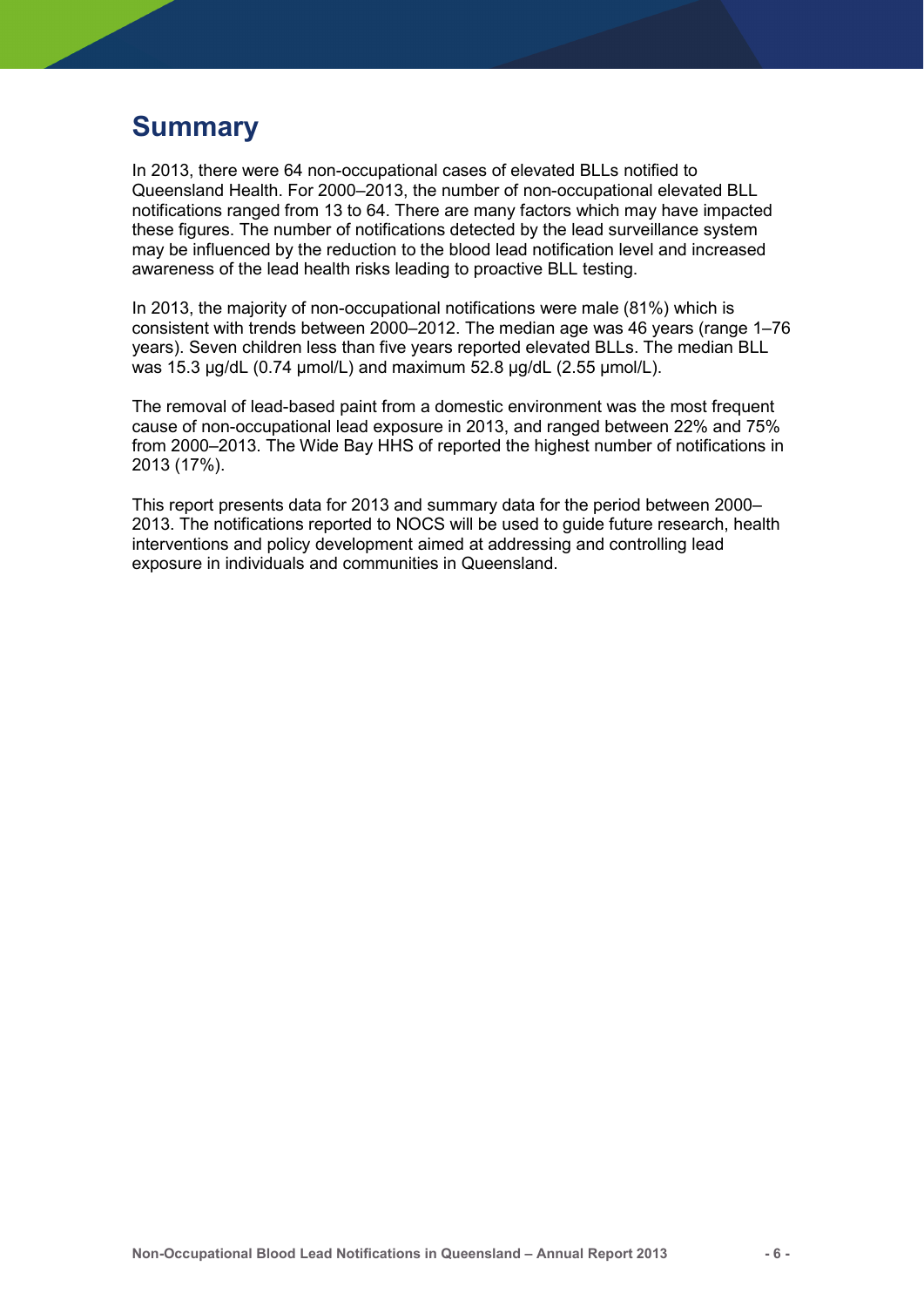### Summary

In 2013, there were 64 non-occupational cases of elevated BLLs notified to Queensland Health. For 2000–2013, the number of non-occupational elevated BLL notifications ranged from 13 to 64. There are many factors which may have impacted these figures. The number of notifications detected by the lead surveillance system may be influenced by the reduction to the blood lead notification level and increased awareness of the lead health risks leading to proactive BLL testing.

In 2013, the majority of non-occupational notifications were male (81%) which is consistent with trends between 2000–2012. The median age was 46 years (range 1–76 years). Seven children less than five years reported elevated BLLs. The median BLL was 15.3 µg/dL (0.74 µmol/L) and maximum 52.8 µg/dL (2.55 µmol/L).

The removal of lead-based paint from a domestic environment was the most frequent cause of non-occupational lead exposure in 2013, and ranged between 22% and 75% from 2000–2013. The Wide Bay HHS of reported the highest number of notifications in 2013 (17%).

This report presents data for 2013 and summary data for the period between 2000– 2013. The notifications reported to NOCS will be used to guide future research, health interventions and policy development aimed at addressing and controlling lead exposure in individuals and communities in Queensland.